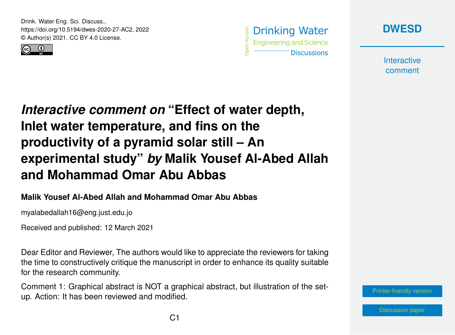Drink. Water Eng. Sci. Discuss., https://doi.org/10.5194/dwes-2020-27-AC2, 2022 © Author(s) 2021. CC BY 4.0 License.







**Interactive** comment

## *Interactive comment on* **"Effect of water depth, Inlet water temperature, and fins on the productivity of a pyramid solar still – An experimental study"** *by* **Malik Yousef Al-Abed Allah and Mohammad Omar Abu Abbas**

## **Malik Yousef Al-Abed Allah and Mohammad Omar Abu Abbas**

myalabedallah16@eng.just.edu.jo

Received and published: 12 March 2021

Dear Editor and Reviewer, The authors would like to appreciate the reviewers for taking the time to constructively critique the manuscript in order to enhance its quality suitable for the research community.

Comment 1: Graphical abstract is NOT a graphical abstract, but illustration of the setup. Action: It has been reviewed and modified.

[Printer-friendly version](https://dwes.copernicus.org/preprints/dwes-2020-27/dwes-2020-27-AC2-print.pdf)

[Discussion paper](https://dwes.copernicus.org/preprints/dwes-2020-27)